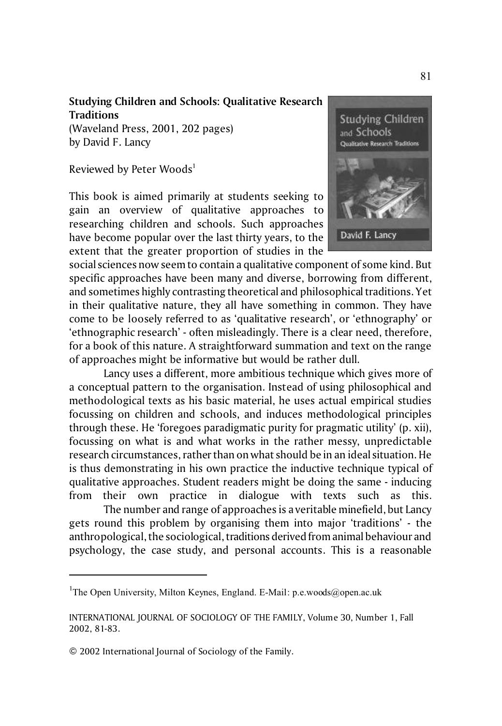## **Studying Children and Schools: Qualitative Research Traditions**

(Waveland Press, 2001, 202 pages) by David F. Lancy

Reviewed by Peter Woods<sup>1</sup>

This book is aimed primarily at students seeking to gain an overview of qualitative approaches to researching children and schools. Such approaches have become popular over the last thirty years, to the extent that the greater proportion of studies in the



social sciences now seem to contain a qualitative component of some kind. But specific approaches have been many and diverse, borrowing from different, and sometimes highly contrasting theoretical and philosophical traditions. Yet in their qualitative nature, they all have something in common. They have come to be loosely referred to as 'qualitative research', or 'ethnography' or 'ethnographic research' - often misleadingly. There is a clear need, therefore, for a book of this nature. A straightforward summation and text on the range of approaches might be informative but would be rather dull.

Lancy uses a different, more ambitious technique which gives more of a conceptual pattern to the organisation. Instead of using philosophical and methodological texts as his basic material, he uses actual empirical studies focussing on children and schools, and induces methodological principles through these. He 'foregoes paradigmatic purity for pragmatic utility' (p. xii), focussing on what is and what works in the rather messy, unpredictable research circumstances, rather than on what should be in an ideal situation. He is thus demonstrating in his own practice the inductive technique typical of qualitative approaches. Student readers might be doing the same - inducing from their own practice in dialogue with texts such as this.

The number and range of approaches is a veritable minefield, but Lancy gets round this problem by organising them into major 'traditions' - the anthropological, the sociological, traditions derived from animal behaviour and psychology, the case study, and personal accounts. This is a reasonable

<sup>&</sup>lt;sup>1</sup>The Open University, Milton Keynes, England. E-Mail: p.e.woods@open.ac.uk

INTERNATIONAL JOURNAL OF SOCIOLOGY OF THE FAMILY, Volume 30, Number 1, Fall 2002, 81-83.

<sup>© 2002</sup> International Journal of Sociology of the Family.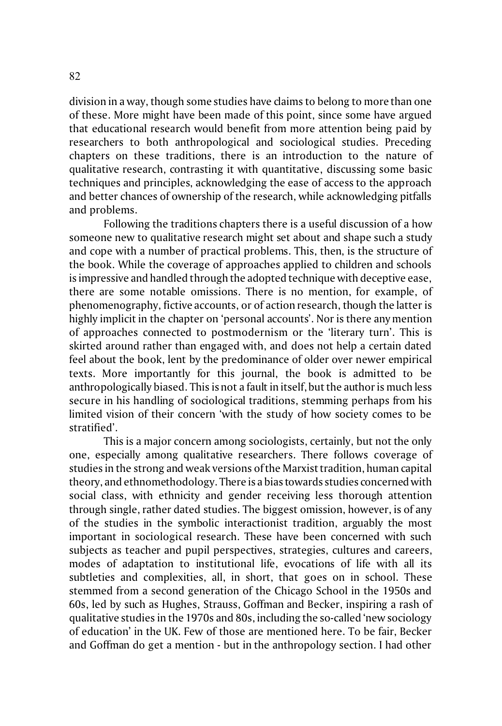division in a way, though some studies have claims to belong to more than one of these. More might have been made of this point, since some have argued that educational research would benefit from more attention being paid by researchers to both anthropological and sociological studies. Preceding chapters on these traditions, there is an introduction to the nature of qualitative research, contrasting it with quantitative, discussing some basic techniques and principles, acknowledging the ease of access to the approach and better chances of ownership of the research, while acknowledging pitfalls and problems.

Following the traditions chapters there is a useful discussion of a how someone new to qualitative research might set about and shape such a study and cope with a number of practical problems. This, then, is the structure of the book. While the coverage of approaches applied to children and schools is impressive and handled through the adopted technique with deceptive ease, there are some notable omissions. There is no mention, for example, of phenomenography, fictive accounts, or of action research, though the latter is highly implicit in the chapter on 'personal accounts'. Nor is there any mention of approaches connected to postmodernism or the 'literary turn'. This is skirted around rather than engaged with, and does not help a certain dated feel about the book, lent by the predominance of older over newer empirical texts. More importantly for this journal, the book is admitted to be anthropologically biased. This is not a fault in itself, but the author is much less secure in his handling of sociological traditions, stemming perhaps from his limited vision of their concern 'with the study of how society comes to be stratified'.

This is a major concern among sociologists, certainly, but not the only one, especially among qualitative researchers. There follows coverage of studies in the strong and weak versions of the Marxist tradition, human capital theory, and ethnomethodology. There is a bias towards studies concerned with social class, with ethnicity and gender receiving less thorough attention through single, rather dated studies. The biggest omission, however, is of any of the studies in the symbolic interactionist tradition, arguably the most important in sociological research. These have been concerned with such subjects as teacher and pupil perspectives, strategies, cultures and careers, modes of adaptation to institutional life, evocations of life with all its subtleties and complexities, all, in short, that goes on in school. These stemmed from a second generation of the Chicago School in the 1950s and 60s, led by such as Hughes, Strauss, Goffman and Becker, inspiring a rash of qualitative studies in the 1970s and 80s, including the so-called 'new sociology of education' in the UK. Few of those are mentioned here. To be fair, Becker and Goffman do get a mention - but in the anthropology section. I had other